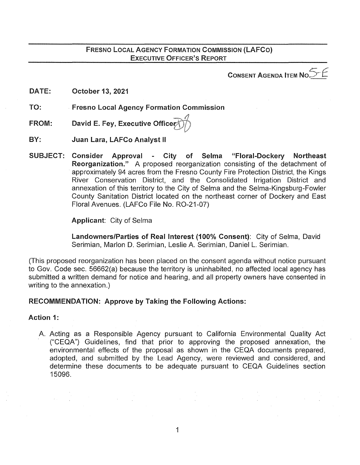CONSENT AGENDA ITEM No $\mathbb{S}^{\mathbb{C}}$ 

DATE: October 13, 2021

TO: Fresno Local Agency Formation Commission

FROM: David E. Fey, Executive Officer

BY: Juan Lara, LAFCo Analyst II

SUBJECT: Consider Approval - City of Selma "Floral-Dockery Northeast Reorganization." A proposed reorganization consisting of the detachment of approximately 94 acres from the Fresno County Fire Protection District, the Kings River Conservation District, and the Consolidated Irrigation District and annexation of this territory to the City of Selma and the Selma-Kingsburg-Fowler County Sanitation District located on the northeast corner of Dockery and East Floral Avenues. (LAFCo File No. R0-21-07)

Applicant: City of Selma

Landowners/Parties of Real Interest (100% Consent): City of Selma, David Serimian, Marlon D. Serimian, Leslie A. Serimian, Daniel L. Serimian.

(This proposed reorganization has been placed on the consent agenda without notice pursuant to Gov. Code sec. 56662(a) because the territory is uninhabited, no affected local agency has submitted a written demand for notice and hearing, and all property owners have consented in writing to the annexation.)

# RECOMMENDATION: Approve by Taking the Following Actions:

Action 1:

A. Acting as a Responsible Agency pursuant to California Environmental Quality Act ("CEQA") Guidelines, find that prior to approving the proposed annexation, the environmental effects of the proposal as shown in the CEQA documents prepared, adopted, and submitted by the Lead Agency, were reviewed and considered, and determine these documents to be adequate pursuant to CEQA Guidelines section 15096.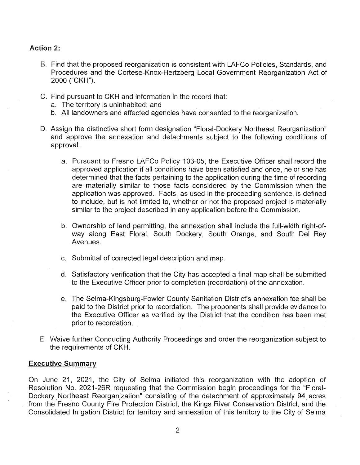## Action 2:

- B. Find that the proposed reorganization is consistent with LAFCo Policies, Standards, and Procedures and the Cortese-Knox-Hertzberg Local Government Reorganization Act of 2000 ("CKH").
- C. Find pursuant to CKH and information in the record that:
	- a. The territory is uninhabited; and
	- b. All landowners and affected agencies have consented to the reorganization.
- D. Assign the distinctive short form designation "Floral-Dockery Northeast Reorganization" and approve the annexation and detachments subject to the following conditions of approval:
	- a. Pursuant to Fresno LAFCo Policy 103-05, the Executive Officer shall record the approved application if all conditions have been satisfied and once, he or she has determined that the facts pertaining to the application during the time of recording are materially similar to those facts considered by the Commission when the application was approved. Facts, as used in the proceeding sentence, is defined to include, but is not limited to, whether or not the proposed project is materially similar to the project described in any application before the Commission.
	- b. Ownership of land permitting, the annexation shall include the full-width right-ofway along East Floral, South Dockery, South Orange, and South Del Rey Avenues.
	- c. Submittal of corrected legal description and map.
	- d. Satisfactory verification that the City has accepted a final map shall be submitted to the Executive Officer prior to completion (recordation) of the annexation.
	- e. The Selma-Kingsburg-Fowler County Sanitation District's annexation fee shall be paid to the District prior to recordation. The proponents shall provide evidence to the Executive Officer as verified by the District that the condition has been met prior to recordation.
- E. Waive further Conducting Authority Proceedings and order the reorganization subject to the requirements of CKH.

#### **Executive Summary**

On June 21, 2021, the City of Selma initiated this reorganization with the adoption of Resolution No. 2021-26R requesting that the Commission begin proceedings for the "Floral-Dockery Northeast Reorganization" consisting of the detachment of approximately 94 acres from the Fresno County Fire Protection District, the Kings River Conservation District, and the Consolidated Irrigation District for territory and annexation of this territory to the City of Selma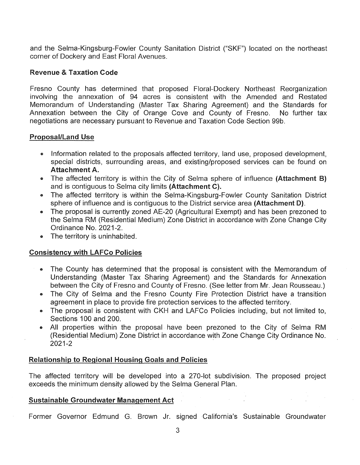and the Selma-Kingsburg-Fowler County Sanitation District ("SKF") located on the northeast corner of Dockery and East Floral Avenues.

## Revenue & Taxation Code

Fresno County has determined that proposed Floral-Dockery Northeast Reorganization involving the annexation of 94 acres is consistent with the Amended and Restated Memorandum of Understanding (Master Tax Sharing Agreement) and the Standards for Annexation between the City of Orange Cove and County of Fresno. No further tax negotiations are necessary pursuant to Revenue and Taxation Code Section 99b.

## Proposal/Land Use

- Information related to the proposals affected territory, land use, proposed development, special districts, surrounding areas, and existing/proposed services can be found on Attachment A.
- The affected territory is within the City of Selma sphere of influence (Attachment B) and is contiguous to Selma city limits (Attachment C).
- The affected territory is within the Selma-Kingsburg-Fowler County Sanitation District sphere of influence and is contiguous to the District service area (Attachment D).
- The proposal is currently zoned AE-20 (Agricultural Exempt) and has been prezoned to the Selma RM (Residential Medium) Zone District in accordance with Zone Change City Ordinance No. 2021-2.
- The territory is uninhabited.

# Consistency with LAFCo Policies

- The County has determined that the proposal is consistent with the Memorandum of Understanding (Master Tax Sharing Agreement) and the Standards for Annexation between the City of Fresno and County of Fresno. (See letter from Mr. Jean Rousseau.)
- The City of Selma and the Fresno County Fire Protection District have a transition agreement in place to provide fire protection services to the affected territory.
- The proposal is consistent with CKH and LAFCo Policies including, but not limited to, Sections 100 and 200.
- All properties within the proposal have been prezoned to the City of Selma RM (Residential Medium) Zone District in accordance with Zone Change City Ordinance No. 2021-2

## Relationship to Regional Housing Goals and Policies

The affected territory will be developed into a 270-lot subdivision. The proposed project exceeds the minimum density allowed by the Selma General Plan.

# Sustainable Groundwater Management Act

Former Governor Edmund G. Brown Jr. signed California's Sustainable Groundwater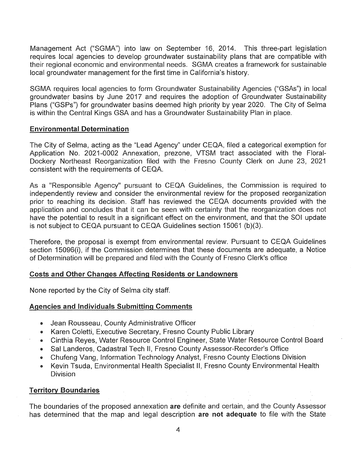Management Act ("SGMA") into law on September 16, 2014. This three-part legislation requires local agencies to develop groundwater sustainability plans that are compatible with their regional economic and environmental needs. SGMA creates a framework for sustainable local groundwater management for the first time in California's history.

SGMA requires local agencies to form Groundwater Sustainability Agencies ("GSAs") in local groundwater basins by June 2017 and requires the adoption of Groundwater Sustainability Plans ("GSPs") for groundwater basins deemed high priority by year 2020. The City of Selma is within the Central Kings GSA and has a Groundwater Sustainability Plan in place.

## Environmental Determination

The City of Selma, acting as the "Lead Agency" under CEQA, filed a categorical exemption for Application No. 2021-0002 Annexation, prezone, VTSM tract associated with the Floral-Dockery Northeast Reorganization filed with the Fresno County Clerk on June 23, 2021 consistent with the requirements of CEQA.

As a "Responsible Agency" pursuant to CEQA Guidelines, the Commission is required to independently review and consider the environmental review for the proposed reorganization prior to reaching its decision. Staff has reviewed the CEQA documents provided with the application and concludes that it can be seen with certainty that the reorganization does not have the potential to result in a significant effect on the environment, and that the SOI update is not subject to CEQA pursuant to CEQA Guidelines section 15061 (b)(3).

Therefore, the proposal is exempt from environmental review. Pursuant to CEQA Guidelines section 15096(i), if the Commission determines that these documents are adequate, a Notice of Determination will be prepared and filed with the County of Fresno Clerk's office

## Costs and Other Changes Affecting Residents or Landowners

None reported by the City of Selma city staff.

#### Agencies and Individuals Submitting Comments

- Jean Rousseau, County Administrative Officer
- Karen Coletti, Executive Secretary, Fresno County Public Library
- Cinthia Reyes, Water Resource Control Engineer, State Water Resource Control Board
- Sal Landeros, Cadastral Tech II, Fresno County Assessor-Recorder's Office
- Chufeng Vang, Information Technology Analyst, Fresno County Elections Division
- Kevin Tsuda, Environmental Health Specialist II, Fresno County Environmental Health Division

#### Territory Boundaries

The boundaries of the proposed annexation are definite and certain, and the County Assessor has determined that the map and legal description are not adequate to file with the State